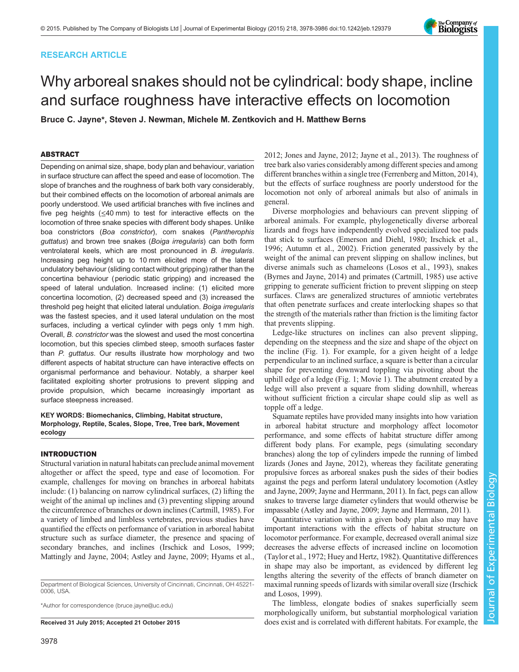## RESEARCH ARTICLE



# Why arboreal snakes should not be cylindrical: body shape, incline and surface roughness have interactive effects on locomotion

Bruce C. Jayne\*, Steven J. Newman, Michele M. Zentkovich and H. Matthew Berns

## ABSTRACT

Depending on animal size, shape, body plan and behaviour, variation in surface structure can affect the speed and ease of locomotion. The slope of branches and the roughness of bark both vary considerably, but their combined effects on the locomotion of arboreal animals are poorly understood. We used artificial branches with five inclines and five peg heights ( $\leq 40$  mm) to test for interactive effects on the locomotion of three snake species with different body shapes. Unlike boa constrictors (Boa constrictor), corn snakes (Pantherophis guttatus) and brown tree snakes (Boiga irregularis) can both form ventrolateral keels, which are most pronounced in B. irregularis. Increasing peg height up to 10 mm elicited more of the lateral undulatory behaviour (sliding contact without gripping) rather than the concertina behaviour (periodic static gripping) and increased the speed of lateral undulation. Increased incline: (1) elicited more concertina locomotion, (2) decreased speed and (3) increased the threshold peg height that elicited lateral undulation. Boiga irregularis was the fastest species, and it used lateral undulation on the most surfaces, including a vertical cylinder with pegs only 1 mm high. Overall, B. constrictor was the slowest and used the most concertina locomotion, but this species climbed steep, smooth surfaces faster than P. guttatus. Our results illustrate how morphology and two different aspects of habitat structure can have interactive effects on organismal performance and behaviour. Notably, a sharper keel facilitated exploiting shorter protrusions to prevent slipping and provide propulsion, which became increasingly important as surface steepness increased.

## KEY WORDS: Biomechanics, Climbing, Habitat structure, Morphology, Reptile, Scales, Slope, Tree, Tree bark, Movement ecology

## INTRODUCTION

Structural variation in natural habitats can preclude animal movement altogether or affect the speed, type and ease of locomotion. For example, challenges for moving on branches in arboreal habitats include: (1) balancing on narrow cylindrical surfaces, (2) lifting the weight of the animal up inclines and (3) preventing slipping around the circumference of branches or down inclines [\(Cartmill, 1985\)](#page-8-0). For a variety of limbed and limbless vertebrates, previous studies have quantified the effects on performance of variation in arboreal habitat structure such as surface diameter, the presence and spacing of secondary branches, and inclines ([Irschick and Losos, 1999](#page-8-0); [Mattingly and Jayne, 2004](#page-8-0); [Astley and Jayne, 2009;](#page-7-0) [Hyams et al.,](#page-8-0)

Department of Biological Sciences, University of Cincinnati, Cincinnati, OH 45221- 0006, USA.

\*Author for correspondence [\(bruce.jayne@uc.edu](mailto:bruce.jayne@uc.edu))

[2012; Jones and Jayne, 2012](#page-8-0); [Jayne et al., 2013\)](#page-8-0). The roughness of tree bark also varies considerably among different species and among different branches within a single tree [\(Ferrenberg and Mitton, 2014\)](#page-8-0), but the effects of surface roughness are poorly understood for the locomotion not only of arboreal animals but also of animals in general.

Diverse morphologies and behaviours can prevent slipping of arboreal animals. For example, phylogenetically diverse arboreal lizards and frogs have independently evolved specialized toe pads that stick to surfaces [\(Emerson and Diehl, 1980](#page-8-0); [Irschick et al.,](#page-8-0) [1996;](#page-8-0) [Autumn et al., 2002](#page-7-0)). Friction generated passively by the weight of the animal can prevent slipping on shallow inclines, but diverse animals such as chameleons [\(Losos et al., 1993\)](#page-8-0), snakes [\(Byrnes and Jayne, 2014](#page-8-0)) and primates ([Cartmill, 1985](#page-8-0)) use active gripping to generate sufficient friction to prevent slipping on steep surfaces. Claws are generalized structures of amniotic vertebrates that often penetrate surfaces and create interlocking shapes so that the strength of the materials rather than friction is the limiting factor that prevents slipping.

Ledge-like structures on inclines can also prevent slipping, depending on the steepness and the size and shape of the object on the incline [\(Fig. 1\)](#page-1-0). For example, for a given height of a ledge perpendicular to an inclined surface, a square is better than a circular shape for preventing downward toppling via pivoting about the uphill edge of a ledge ([Fig. 1;](#page-1-0) [Movie 1](http://jeb.biologists.org/lookup/suppl/doi:10.1242/jeb.129379/-/DC1)). The abutment created by a ledge will also prevent a square from sliding downhill, whereas without sufficient friction a circular shape could slip as well as topple off a ledge.

Squamate reptiles have provided many insights into how variation in arboreal habitat structure and morphology affect locomotor performance, and some effects of habitat structure differ among different body plans. For example, pegs (simulating secondary branches) along the top of cylinders impede the running of limbed lizards ([Jones and Jayne, 2012](#page-8-0)), whereas they facilitate generating propulsive forces as arboreal snakes push the sides of their bodies against the pegs and perform lateral undulatory locomotion [\(Astley](#page-7-0) [and Jayne, 2009](#page-7-0); [Jayne and Herrmann, 2011\)](#page-8-0). In fact, pegs can allow snakes to traverse large diameter cylinders that would otherwise be impassable ([Astley and Jayne, 2009;](#page-7-0) [Jayne and Herrmann, 2011](#page-8-0)).

Quantitative variation within a given body plan also may have important interactions with the effects of habitat structure on locomotor performance. For example, decreased overall animal size decreases the adverse effects of increased incline on locomotion [\(Taylor et al., 1972](#page-8-0); [Huey and Hertz, 1982\)](#page-8-0). Quantitative differences in shape may also be important, as evidenced by different leg lengths altering the severity of the effects of branch diameter on maximal running speeds of lizards with similar overall size ([Irschick](#page-8-0) [and Losos, 1999\)](#page-8-0).

The limbless, elongate bodies of snakes superficially seem morphologically uniform, but substantial morphological variation Received 31 July 2015; Accepted 21 October 2015 does exist and is correlated with different habitats. For example, the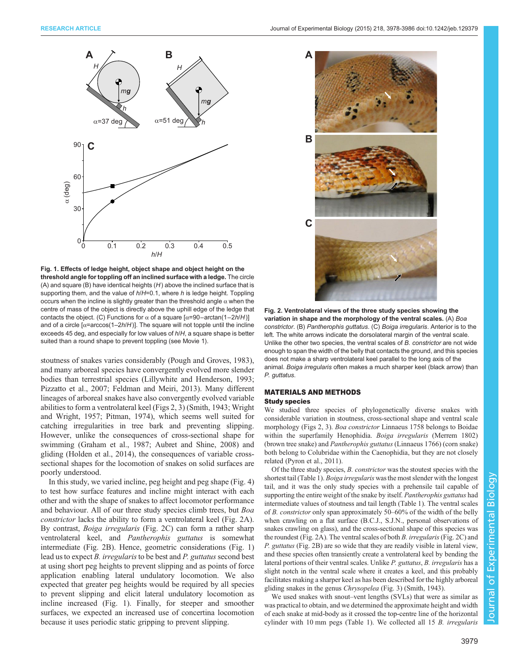<span id="page-1-0"></span>

Fig. 1. Effects of ledge height, object shape and object height on the threshold angle for toppling off an inclined surface with a ledge. The circle (A) and square (B) have identical heights  $(H)$  above the inclined surface that is supporting them, and the value of  $h/H=0.1$ , where  $h$  is ledge height. Toppling occurs when the incline is slightly greater than the threshold angle  $\alpha$  when the centre of mass of the object is directly above the uphill edge of the ledge that contacts the object. (C) Functions for  $\alpha$  of a square  $[\alpha=90$ –arctan(1–2h/H)] and of a circle  $[\alpha$ =arccos(1–2h/H)]. The square will not topple until the incline exceeds 45 deg, and especially for low values of  $h/H$ , a square shape is better suited than a round shape to prevent toppling (see [Movie 1\)](http://jeb.biologists.org/lookup/suppl/doi:10.1242/jeb.129379/-/DC1).

stoutness of snakes varies considerably [\(Pough and Groves, 1983\)](#page-8-0), and many arboreal species have convergently evolved more slender bodies than terrestrial species [\(Lillywhite and Henderson, 1993](#page-8-0); [Pizzatto et al., 2007; Feldman and Meiri, 2013\)](#page-8-0). Many different lineages of arboreal snakes have also convergently evolved variable abilities to form a ventrolateral keel (Figs 2, [3](#page-2-0)) [\(Smith, 1943](#page-8-0); [Wright](#page-8-0) [and Wright, 1957](#page-8-0); [Pitman, 1974\)](#page-8-0), which seems well suited for catching irregularities in tree bark and preventing slipping. However, unlike the consequences of cross-sectional shape for swimming [\(Graham et al., 1987;](#page-8-0) [Aubret and Shine, 2008\)](#page-7-0) and gliding ([Holden et al., 2014](#page-8-0)), the consequences of variable crosssectional shapes for the locomotion of snakes on solid surfaces are poorly understood.

In this study, we varied incline, peg height and peg shape [\(Fig. 4\)](#page-2-0) to test how surface features and incline might interact with each other and with the shape of snakes to affect locomotor performance and behaviour. All of our three study species climb trees, but Boa constrictor lacks the ability to form a ventrolateral keel (Fig. 2A). By contrast, Boiga irregularis (Fig. 2C) can form a rather sharp ventrolateral keel, and Pantherophis guttatus is somewhat intermediate (Fig. 2B). Hence, geometric considerations (Fig. 1) lead us to expect B. irregularis to be best and P. guttatus second best at using short peg heights to prevent slipping and as points of force application enabling lateral undulatory locomotion. We also expected that greater peg heights would be required by all species to prevent slipping and elicit lateral undulatory locomotion as incline increased (Fig. 1). Finally, for steeper and smoother surfaces, we expected an increased use of concertina locomotion because it uses periodic static gripping to prevent slipping.



Fig. 2. Ventrolateral views of the three study species showing the variation in shape and the morphology of the ventral scales. (A) Boa constrictor. (B) Pantherophis guttatus. (C) Boiga irregularis. Anterior is to the left. The white arrows indicate the dorsolateral margin of the ventral scale. Unlike the other two species, the ventral scales of B. constrictor are not wide enough to span the width of the belly that contacts the ground, and this species does not make a sharp ventrolateral keel parallel to the long axis of the animal. Boiga irregularis often makes a much sharper keel (black arrow) than P. guttatus.

## MATERIALS AND METHODS Study species

We studied three species of phylogenetically diverse snakes with considerable variation in stoutness, cross-sectional shape and ventral scale morphology (Figs 2, [3](#page-2-0)). *Boa constrictor* Linnaeus 1758 belongs to Boidae within the superfamily Henophidia. Boiga irregularis (Merrem 1802) (brown tree snake) and Pantherophis guttatus (Linnaeus 1766) (corn snake) both belong to Colubridae within the Caenophidia, but they are not closely related ([Pyron et al., 2011\)](#page-8-0).

Of the three study species, B. constrictor was the stoutest species with the shortest tail ([Table 1](#page-3-0)). *Boiga irregularis* was the most slender with the longest tail, and it was the only study species with a prehensile tail capable of supporting the entire weight of the snake by itself. Pantherophis guttatus had intermediate values of stoutness and tail length [\(Table 1](#page-3-0)). The ventral scales of B. constrictor only span approximately 50–60% of the width of the belly when crawling on a flat surface (B.C.J., S.J.N., personal observations of snakes crawling on glass), and the cross-sectional shape of this species was the roundest (Fig. 2A). The ventral scales of both B. irregularis(Fig. 2C) and P. guttatus (Fig. 2B) are so wide that they are readily visible in lateral view, and these species often transiently create a ventrolateral keel by bending the lateral portions of their ventral scales. Unlike P. guttatus, B. irregularis has a slight notch in the ventral scale where it creates a keel, and this probably facilitates making a sharper keel as has been described for the highly arboreal gliding snakes in the genus Chrysopelea [\(Fig. 3](#page-2-0)) ([Smith, 1943\)](#page-8-0).

We used snakes with snout–vent lengths (SVLs) that were as similar as was practical to obtain, and we determined the approximate height and width of each snake at mid-body as it crossed the top-centre line of the horizontal cylinder with 10 mm pegs [\(Table 1\)](#page-3-0). We collected all 15 B. irregularis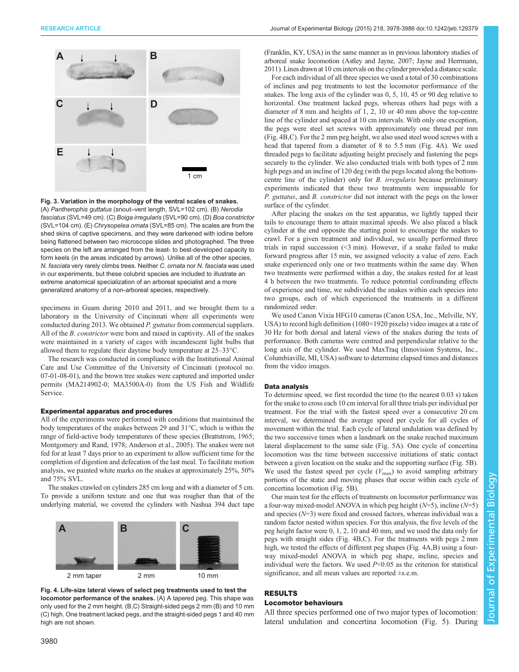<span id="page-2-0"></span>



(A) Pantherophis guttatus (snout–vent length, SVL=102 cm). (B) Nerodia fasciatus (SVL=49 cm). (C) Boiga irregularis (SVL=90 cm). (D) Boa constrictor (SVL=104 cm). (E) Chrysopelea ornata (SVL=85 cm). The scales are from the shed skins of captive specimens, and they were darkened with iodine before being flattened between two microscope slides and photographed. The three species on the left are arranged from the least- to best-developed capacity to form keels (in the areas indicated by arrows). Unlike all of the other species, N. fasciata very rarely climbs trees. Neither C. ornata nor N. fasciata was used in our experiments, but these colubrid species are included to illustrate an extreme anatomical specialization of an arboreal specialist and a more generalized anatomy of a non-arboreal species, respectively.

specimens in Guam during 2010 and 2011, and we brought them to a laboratory in the University of Cincinnati where all experiments were conducted during 2013. We obtained *P. guttatus* from commercial suppliers. All of the B. constrictor were born and raised in captivity. All of the snakes were maintained in a variety of cages with incandescent light bulbs that allowed them to regulate their daytime body temperature at 25–33°C.

The research was conducted in compliance with the Institutional Animal Care and Use Committee of the University of Cincinnati ( protocol no. 07-01-08-01), and the brown tree snakes were captured and imported under permits (MA214902-0; MA3500A-0) from the US Fish and Wildlife Service.

### Experimental apparatus and procedures

All of the experiments were performed with conditions that maintained the body temperatures of the snakes between 29 and 31°C, which is within the range of field-active body temperatures of these species [\(Brattstrom, 1965;](#page-8-0) [Montgomery and Rand, 1978;](#page-8-0) [Anderson et al., 2005](#page-7-0)). The snakes were not fed for at least 7 days prior to an experiment to allow sufficient time for the completion of digestion and defecation of the last meal. To facilitate motion analysis, we painted white marks on the snakes at approximately 25%, 50% and 75% SVL.

The snakes crawled on cylinders 285 cm long and with a diameter of 5 cm. To provide a uniform texture and one that was rougher than that of the underlying material, we covered the cylinders with Nashua 394 duct tape





(Franklin, KY, USA) in the same manner as in previous laboratory studies of arboreal snake locomotion ([Astley and Jayne, 2007](#page-7-0); [Jayne and Herrmann,](#page-8-0) [2011](#page-8-0)). Lines drawn at 10 cm intervals on the cylinder provided a distance scale.

For each individual of all three species we used a total of 30 combinations of inclines and peg treatments to test the locomotor performance of the snakes. The long axis of the cylinder was 0, 5, 10, 45 or 90 deg relative to horizontal. One treatment lacked pegs, whereas others had pegs with a diameter of 8 mm and heights of 1, 2, 10 or 40 mm above the top-centre line of the cylinder and spaced at 10 cm intervals. With only one exception, the pegs were steel set screws with approximately one thread per mm (Fig. 4B,C). For the 2 mm peg height, we also used steel wood screws with a head that tapered from a diameter of 8 to 5.5 mm (Fig. 4A). We used threaded pegs to facilitate adjusting height precisely and fastening the pegs securely to the cylinder. We also conducted trials with both types of 2 mm high pegs and an incline of 120 deg (with the pegs located along the bottomcentre line of the cylinder) only for B. irregularis because preliminary experiments indicated that these two treatments were impassable for P. guttatus, and B. constrictor did not interact with the pegs on the lower surface of the cylinder.

After placing the snakes on the test apparatus, we lightly tapped their tails to encourage them to attain maximal speeds. We also placed a black cylinder at the end opposite the starting point to encourage the snakes to crawl. For a given treatment and individual, we usually performed three trials in rapid succession  $($ 3 min). However, if a snake failed to make forward progress after 15 min, we assigned velocity a value of zero. Each snake experienced only one or two treatments within the same day. When two treatments were performed within a day, the snakes rested for at least 4 h between the two treatments. To reduce potential confounding effects of experience and time, we subdivided the snakes within each species into two groups, each of which experienced the treatments in a different randomized order.

We used Canon Vixia HFG10 cameras (Canon USA, Inc., Melville, NY, USA) to record high definition (1080×1920 pixels) video images at a rate of 30 Hz for both dorsal and lateral views of the snakes during the tests of performance. Both cameras were centred and perpendicular relative to the long axis of the cylinder. We used MaxTraq (Innovision Systems, Inc., Columbiaville, MI, USA) software to determine elapsed times and distances from the video images.

### Data analysis

To determine speed, we first recorded the time (to the nearest 0.03 s) taken for the snake to cross each 10 cm interval for all three trials per individual per treatment. For the trial with the fastest speed over a consecutive 20 cm interval, we determined the average speed per cycle for all cycles of movement within the trial. Each cycle of lateral undulation was defined by the two successive times when a landmark on the snake reached maximum lateral displacement to the same side ([Fig. 5A](#page-3-0)). One cycle of concertina locomotion was the time between successive initiations of static contact between a given location on the snake and the supporting surface ([Fig. 5](#page-3-0)B). We used the fastest speed per cycle  $(V_{\text{max}})$  to avoid sampling arbitrary portions of the static and moving phases that occur within each cycle of concertina locomotion ([Fig. 5B](#page-3-0)).

Our main test for the effects of treatments on locomotor performance was a four-way mixed-model ANOVA in which peg height  $(N=5)$ , incline  $(N=5)$ and species  $(N=3)$  were fixed and crossed factors, whereas individual was a random factor nested within species. For this analysis, the five levels of the peg height factor were 0, 1, 2, 10 and 40 mm, and we used the data only for pegs with straight sides (Fig. 4B,C). For the treatments with pegs 2 mm high, we tested the effects of different peg shapes (Fig. 4A,B) using a fourway mixed-model ANOVA in which peg shape, incline, species and individual were the factors. We used  $P<0.05$  as the criterion for statistical significance, and all mean values are reported  $\pm$ s.e.m.

## RESULTS Locomotor behaviours

All three species performed one of two major types of locomotion: lateral undulation and concertina locomotion [\(Fig. 5](#page-3-0)). During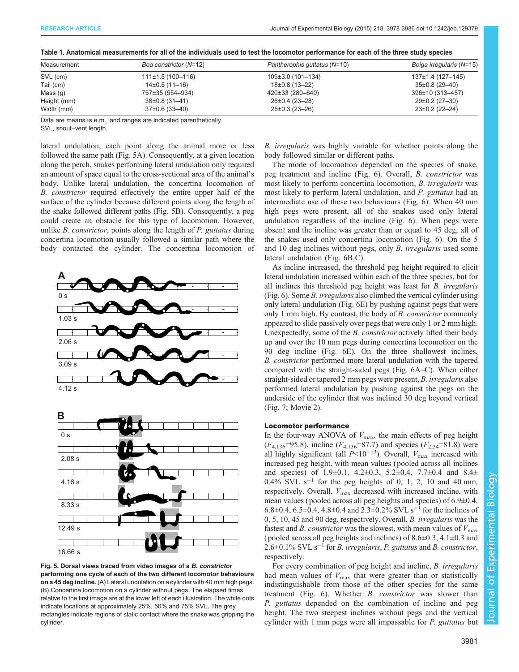| Measurement | Boa constrictor (N=12) | Pantherophis guttatus (N=10) | Boiga irregularis (N=15) |  |  |  |
|-------------|------------------------|------------------------------|--------------------------|--|--|--|
| SVL (cm)    | $111\pm 1.5(100-116)$  | $109\pm3.0$ (101-134)        | 137±1.4 (127–145)        |  |  |  |
| Tail (cm)   | 14±0.5 (11–16)         | 18±0.8 (13–22)               | 35±0.8 (29–40)           |  |  |  |
| Mass (g)    | 757±35 (554–934)       | 420±33 (280–640)             | 396±10 (313–457)         |  |  |  |
| Height (mm) | 38±0.8 (31–41)         | 26±0.4 (23–28)               | 29±0.2 (27–30)           |  |  |  |
| Width (mm)  | $37\pm0.6$ (33–40)     | $25\pm0.3(23-26)$            | 23±0.2 (22–24)           |  |  |  |

<span id="page-3-0"></span>

|  | Table 1. Anatomical measurements for all of the individuals used to test the locomotor performance for each of the three study species |  |  |  |  |  |  |  |  |  |  |  |  |
|--|----------------------------------------------------------------------------------------------------------------------------------------|--|--|--|--|--|--|--|--|--|--|--|--|
|--|----------------------------------------------------------------------------------------------------------------------------------------|--|--|--|--|--|--|--|--|--|--|--|--|

Data are means±s.e.m., and ranges are indicated parenthetically.

SVL, snout–vent length.

lateral undulation, each point along the animal more or less followed the same path (Fig. 5A). Consequently, at a given location along the perch, snakes performing lateral undulation only required an amount of space equal to the cross-sectional area of the animal's body. Unlike lateral undulation, the concertina locomotion of B. constrictor required effectively the entire upper half of the surface of the cylinder because different points along the length of the snake followed different paths (Fig. 5B). Consequently, a peg could create an obstacle for this type of locomotion. However, unlike *B. constrictor*, points along the length of *P. guttatus* during concertina locomotion usually followed a similar path where the body contacted the cylinder. The concertina locomotion of





Fig. 5. Dorsal views traced from video images of a B. constrictor performing one cycle of each of the two different locomotor behaviours on a 45 deg incline. (A) Lateral undulation on a cylinder with 40 mm high pegs. (B) Concertina locomotion on a cylinder without pegs. The elapsed times relative to the first image are at the lower left of each illustration. The white dots indicate locations at approximately 25%, 50% and 75% SVL. The grey rectangles indicate regions of static contact where the snake was gripping the cylinder.

B. irregularis was highly variable for whether points along the body followed similar or different paths.

The mode of locomotion depended on the species of snake, peg treatment and incline ([Fig. 6\)](#page-4-0). Overall, B. constrictor was most likely to perform concertina locomotion, B. irregularis was most likely to perform lateral undulation, and P. guttatus had an intermediate use of these two behaviours ([Fig. 6](#page-4-0)). When 40 mm high pegs were present, all of the snakes used only lateral undulation regardless of the incline [\(Fig. 6\)](#page-4-0). When pegs were absent and the incline was greater than or equal to 45 deg, all of the snakes used only concertina locomotion ([Fig. 6\)](#page-4-0). On the 5 and 10 deg inclines without pegs, only B. irregularis used some lateral undulation ([Fig. 6](#page-4-0)B,C).

As incline increased, the threshold peg height required to elicit lateral undulation increased within each of the three species, but for all inclines this threshold peg height was least for B. irregularis [\(Fig. 6\)](#page-4-0). Some B. irregularis also climbed the vertical cylinder using only lateral undulation ([Fig. 6E](#page-4-0)) by pushing against pegs that were only 1 mm high. By contrast, the body of B. constrictor commonly appeared to slide passively over pegs that were only 1 or 2 mm high. Unexpectedly, some of the *B. constrictor* actively lifted their body up and over the 10 mm pegs during concertina locomotion on the 90 deg incline ([Fig. 6E](#page-4-0)). On the three shallowest inclines, B. constrictor performed more lateral undulation with the tapered compared with the straight-sided pegs [\(Fig. 6A](#page-4-0)–C). When either straight-sided or tapered 2 mm pegs were present, B. irregularis also performed lateral undulation by pushing against the pegs on the underside of the cylinder that was inclined 30 deg beyond vertical [\(Fig. 7](#page-5-0); [Movie 2\)](http://jeb.biologists.org/lookup/suppl/doi:10.1242/jeb.129379/-/DC1).

## Locomotor performance

In the four-way ANOVA of  $V_{\text{max}}$ , the main effects of peg height  $(F_{4,136}=95.8)$ , incline  $(F_{4,136}=87.7)$  and species  $(F_{2,34}=81.8)$  were all highly significant (all  $P<10^{-13}$ ). Overall,  $V_{\text{max}}$  increased with increased peg height, with mean values ( pooled across all inclines and species) of 1.9±0.1, 4.2±0.3, 5.2±0.4, 7.7±0.4 and 8.4± 0.4% SVL s<sup>-1</sup> for the peg heights of 0, 1, 2, 10 and 40 mm, respectively. Overall,  $V_{\text{max}}$  decreased with increased incline, with mean values ( pooled across all peg heights and species) of 6.9±0.4, 6.8±0.4, 6.5±0.4, 4.8±0.4 and 2.3±0.2% SVL s−<sup>1</sup> for the inclines of 0, 5, 10, 45 and 90 deg, respectively. Overall, B. irregularis was the fastest and B. constrictor was the slowest, with mean values of  $V_{\text{max}}$ (pooled across all peg heights and inclines) of  $8.6\pm0.3$ ,  $4.1\pm0.3$  and  $2.6\pm0.1\%$  SVL s<sup>-1</sup> for *B. irregularis, P. guttatus* and *B. constrictor*, respectively.

For every combination of peg height and incline, B. irregularis had mean values of  $V_{\text{max}}$  that were greater than or statistically indistinguishable from those of the other species for the same treatment [\(Fig. 6](#page-4-0)). Whether B. constrictor was slower than P. guttatus depended on the combination of incline and peg height. The two steepest inclines without pegs and the vertical cylinder with 1 mm pegs were all impassable for P. guttatus but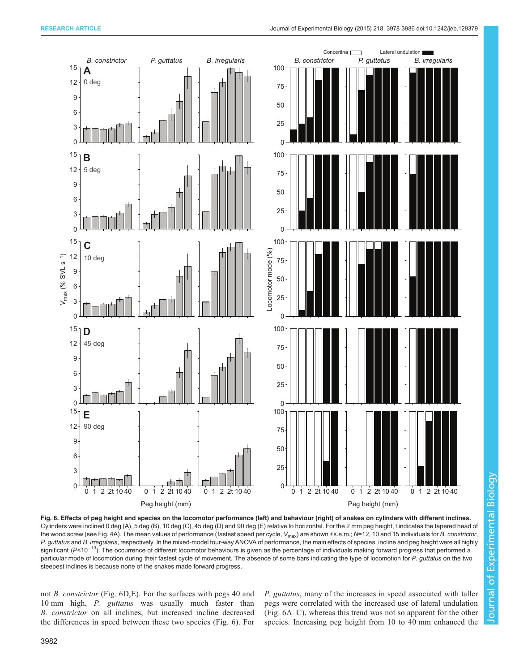<span id="page-4-0"></span>

Fig. 6. Effects of peg height and species on the locomotor performance (left) and behaviour (right) of snakes on cylinders with different inclines. Cylinders were inclined 0 deg (A), 5 deg (B), 10 deg (C), 45 deg (D) and 90 deg (E) relative to horizontal. For the 2 mm peg height, t indicates the tapered head of the wood screw (see [Fig. 4A](#page-2-0)). The mean values of performance (fastest speed per cycle,  $V_{\text{max}}$ ) are shown  $\pm$ s.e.m.; N=12, 10 and 15 individuals for B. constrictor, P. guttatus and B. irregularis, respectively. In the mixed-model four-way ANOVA of performance, the main effects of species, incline and peg height were all highly significant (P<10<sup>-13</sup>). The occurrence of different locomotor behaviours is given as the percentage of individuals making forward progress that performed a particular mode of locomotion during their fastest cycle of movement. The absence of some bars indicating the type of locomotion for P. guttatus on the two steepest inclines is because none of the snakes made forward progress.

not B. constrictor (Fig. 6D,E). For the surfaces with pegs 40 and 10 mm high, P. guttatus was usually much faster than B. constrictor on all inclines, but increased incline decreased the differences in speed between these two species (Fig. 6). For

P. guttatus, many of the increases in speed associated with taller pegs were correlated with the increased use of lateral undulation (Fig. 6A–C), whereas this trend was not so apparent for the other species. Increasing peg height from 10 to 40 mm enhanced the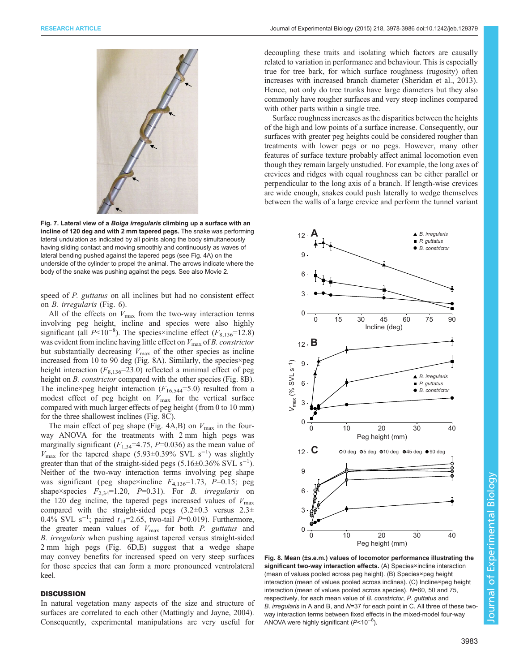<span id="page-5-0"></span>

Fig. 7. Lateral view of a Boiga irregularis climbing up a surface with an incline of 120 deg and with 2 mm tapered pegs. The snake was performing lateral undulation as indicated by all points along the body simultaneously having sliding contact and moving smoothly and continuously as waves of lateral bending pushed against the tapered pegs (see [Fig. 4](#page-2-0)A) on the underside of the cylinder to propel the animal. The arrows indicate where the body of the snake was pushing against the pegs. See also [Movie 2.](http://jeb.biologists.org/lookup/suppl/doi:10.1242/jeb.129379/-/DC1)

speed of *P. guttatus* on all inclines but had no consistent effect on B. irregularis ([Fig. 6](#page-4-0)).

All of the effects on  $V_{\text{max}}$  from the two-way interaction terms involving peg height, incline and species were also highly significant (all  $P<10^{-8}$ ). The species×incline effect ( $F_{8,136}=12.8$ ) was evident from incline having little effect on  $V_{\text{max}}$  of B. constrictor but substantially decreasing  $V_{\text{max}}$  of the other species as incline increased from 10 to 90 deg (Fig. 8A). Similarly, the species×peg height interaction ( $F_{8,136}$ =23.0) reflected a minimal effect of peg height on *B. constrictor* compared with the other species (Fig. 8B). The incline×peg height interaction  $(F_{16,544}=5.0)$  resulted from a modest effect of peg height on  $V_{\text{max}}$  for the vertical surface compared with much larger effects of peg height (from 0 to 10 mm) for the three shallowest inclines (Fig. 8C).

The main effect of peg shape [\(Fig. 4](#page-2-0)A,B) on  $V_{\text{max}}$  in the fourway ANOVA for the treatments with 2 mm high pegs was marginally significant  $(F_{1,34} = 4.75, P = 0.036)$  as the mean value of  $V_{\text{max}}$  for the tapered shape (5.93±0.39% SVL s<sup>-1</sup>) was slightly greater than that of the straight-sided pegs  $(5.16 \pm 0.36\% \text{ SVL s}^{-1})$ . Neither of the two-way interaction terms involving peg shape was significant (peg shape×incline  $F_{4,136}$ =1.73, P=0.15; peg shape×species  $F_{2,34}$ =1.20, P=0.31). For B. irregularis on the 120 deg incline, the tapered pegs increased values of  $V_{\text{max}}$ compared with the straight-sided pegs  $(3.2\pm0.3$  versus  $2.3\pm$ 0.4% SVL s<sup>-1</sup>; paired  $t_{14}$ =2.65, two-tail P=0.019). Furthermore, the greater mean values of  $V_{\text{max}}$  for both P. guttatus and B. irregularis when pushing against tapered versus straight-sided 2 mm high pegs [\(Fig. 6D](#page-4-0),E) suggest that a wedge shape may convey benefits for increased speed on very steep surfaces for those species that can form a more pronounced ventrolateral keel.

## **DISCUSSION**

In natural vegetation many aspects of the size and structure of surfaces are correlated to each other [\(Mattingly and Jayne, 2004\)](#page-8-0). Consequently, experimental manipulations are very useful for

decoupling these traits and isolating which factors are causally related to variation in performance and behaviour. This is especially true for tree bark, for which surface roughness (rugosity) often increases with increased branch diameter [\(Sheridan et al., 2013\)](#page-8-0). Hence, not only do tree trunks have large diameters but they also commonly have rougher surfaces and very steep inclines compared with other parts within a single tree.

Surface roughness increases as the disparities between the heights of the high and low points of a surface increase. Consequently, our surfaces with greater peg heights could be considered rougher than treatments with lower pegs or no pegs. However, many other features of surface texture probably affect animal locomotion even though they remain largely unstudied. For example, the long axes of crevices and ridges with equal roughness can be either parallel or perpendicular to the long axis of a branch. If length-wise crevices are wide enough, snakes could push laterally to wedge themselves between the walls of a large crevice and perform the tunnel variant



Fig. 8. Mean (±s.e.m.) values of locomotor performance illustrating the significant two-way interaction effects. (A) Species×incline interaction (mean of values pooled across peg height). (B) Species×peg height interaction (mean of values pooled across inclines). (C) Incline×peg height interaction (mean of values pooled across species). N=60, 50 and 75, respectively, for each mean value of B. constrictor, P. guttatus and B. irregularis in A and B, and N=37 for each point in C. All three of these twoway interaction terms between fixed effects in the mixed-model four-way ANOVA were highly significant  $(P<10^{-8})$ .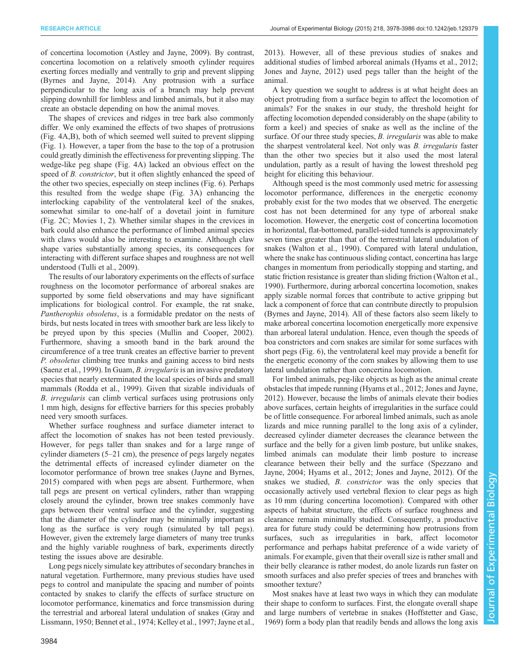of concertina locomotion [\(Astley and Jayne, 2009](#page-7-0)). By contrast, concertina locomotion on a relatively smooth cylinder requires exerting forces medially and ventrally to grip and prevent slipping [\(Byrnes and Jayne, 2014\)](#page-8-0). Any protrusion with a surface perpendicular to the long axis of a branch may help prevent slipping downhill for limbless and limbed animals, but it also may create an obstacle depending on how the animal moves.

The shapes of crevices and ridges in tree bark also commonly differ. We only examined the effects of two shapes of protrusions [\(Fig. 4A](#page-2-0),B), both of which seemed well suited to prevent slipping [\(Fig. 1\)](#page-1-0). However, a taper from the base to the top of a protrusion could greatly diminish the effectiveness for preventing slipping. The wedge-like peg shape ([Fig. 4](#page-2-0)A) lacked an obvious effect on the speed of *B. constrictor*, but it often slightly enhanced the speed of the other two species, especially on steep inclines [\(Fig. 6](#page-4-0)). Perhaps this resulted from the wedge shape [\(Fig. 3A](#page-2-0)) enhancing the interlocking capability of the ventrolateral keel of the snakes, somewhat similar to one-half of a dovetail joint in furniture [\(Fig. 2C](#page-1-0); [Movies 1, 2](http://jeb.biologists.org/lookup/suppl/doi:10.1242/jeb.129379/-/DC1)). Whether similar shapes in the crevices in bark could also enhance the performance of limbed animal species with claws would also be interesting to examine. Although claw shape varies substantially among species, its consequences for interacting with different surface shapes and roughness are not well understood ([Tulli et al., 2009\)](#page-8-0).

The results of our laboratory experiments on the effects of surface roughness on the locomotor performance of arboreal snakes are supported by some field observations and may have significant implications for biological control. For example, the rat snake, Pantherophis obsoletus, is a formidable predator on the nests of birds, but nests located in trees with smoother bark are less likely to be preyed upon by this species ([Mullin and Cooper, 2002\)](#page-8-0). Furthermore, shaving a smooth band in the bark around the circumference of a tree trunk creates an effective barrier to prevent P. obsoletus climbing tree trunks and gaining access to bird nests [\(Saenz et al., 1999](#page-8-0)). In Guam, B. irregularis is an invasive predatory species that nearly exterminated the local species of birds and small mammals [\(Rodda et al., 1999\)](#page-8-0). Given that sizable individuals of B. irregularis can climb vertical surfaces using protrusions only 1 mm high, designs for effective barriers for this species probably need very smooth surfaces.

Whether surface roughness and surface diameter interact to affect the locomotion of snakes has not been tested previously. However, for pegs taller than snakes and for a large range of cylinder diameters (5–21 cm), the presence of pegs largely negates the detrimental effects of increased cylinder diameter on the locomotor performance of brown tree snakes ([Jayne and Byrnes,](#page-8-0) [2015](#page-8-0)) compared with when pegs are absent. Furthermore, when tall pegs are present on vertical cylinders, rather than wrapping closely around the cylinder, brown tree snakes commonly have gaps between their ventral surface and the cylinder, suggesting that the diameter of the cylinder may be minimally important as long as the surface is very rough (simulated by tall pegs). However, given the extremely large diameters of many tree trunks and the highly variable roughness of bark, experiments directly testing the issues above are desirable.

Long pegs nicely simulate key attributes of secondary branches in natural vegetation. Furthermore, many previous studies have used pegs to control and manipulate the spacing and number of points contacted by snakes to clarify the effects of surface structure on locomotor performance, kinematics and force transmission during the terrestrial and arboreal lateral undulation of snakes ([Gray and](#page-8-0) [Lissmann, 1950; Bennet et al., 1974](#page-8-0); [Kelley et al., 1997; Jayne et al.,](#page-8-0)

[2013\)](#page-8-0). However, all of these previous studies of snakes and additional studies of limbed arboreal animals [\(Hyams et al., 2012](#page-8-0); [Jones and Jayne, 2012](#page-8-0)) used pegs taller than the height of the animal.

A key question we sought to address is at what height does an object protruding from a surface begin to affect the locomotion of animals? For the snakes in our study, the threshold height for affecting locomotion depended considerably on the shape (ability to form a keel) and species of snake as well as the incline of the surface. Of our three study species, *B. irregularis* was able to make the sharpest ventrolateral keel. Not only was B. irregularis faster than the other two species but it also used the most lateral undulation, partly as a result of having the lowest threshold peg height for eliciting this behaviour.

Although speed is the most commonly used metric for assessing locomotor performance, differences in the energetic economy probably exist for the two modes that we observed. The energetic cost has not been determined for any type of arboreal snake locomotion. However, the energetic cost of concertina locomotion in horizontal, flat-bottomed, parallel-sided tunnels is approximately seven times greater than that of the terrestrial lateral undulation of snakes [\(Walton et al., 1990\)](#page-8-0). Compared with lateral undulation, where the snake has continuous sliding contact, concertina has large changes in momentum from periodically stopping and starting, and static friction resistance is greater than sliding friction ([Walton et al.,](#page-8-0) [1990\)](#page-8-0). Furthermore, during arboreal concertina locomotion, snakes apply sizable normal forces that contribute to active gripping but lack a component of force that can contribute directly to propulsion [\(Byrnes and Jayne, 2014](#page-8-0)). All of these factors also seem likely to make arboreal concertina locomotion energetically more expensive than arboreal lateral undulation. Hence, even though the speeds of boa constrictors and corn snakes are similar for some surfaces with short pegs [\(Fig. 6\)](#page-4-0), the ventrolateral keel may provide a benefit for the energetic economy of the corn snakes by allowing them to use lateral undulation rather than concertina locomotion.

For limbed animals, peg-like objects as high as the animal create obstacles that impede running ([Hyams et al., 2012](#page-8-0); [Jones and Jayne,](#page-8-0) [2012\)](#page-8-0). However, because the limbs of animals elevate their bodies above surfaces, certain heights of irregularities in the surface could be of little consequence. For arboreal limbed animals, such as anole lizards and mice running parallel to the long axis of a cylinder, decreased cylinder diameter decreases the clearance between the surface and the belly for a given limb posture, but unlike snakes, limbed animals can modulate their limb posture to increase clearance between their belly and the surface ([Spezzano and](#page-8-0) [Jayne, 2004; Hyams et al., 2012](#page-8-0); [Jones and Jayne, 2012\)](#page-8-0). Of the snakes we studied, *B. constrictor* was the only species that occasionally actively used vertebral flexion to clear pegs as high as 10 mm (during concertina locomotion). Compared with other aspects of habitat structure, the effects of surface roughness and clearance remain minimally studied. Consequently, a productive area for future study could be determining how protrusions from surfaces, such as irregularities in bark, affect locomotor performance and perhaps habitat preference of a wide variety of animals. For example, given that their overall size is rather small and their belly clearance is rather modest, do anole lizards run faster on smooth surfaces and also prefer species of trees and branches with smoother texture?

Most snakes have at least two ways in which they can modulate their shape to conform to surfaces. First, the elongate overall shape and large numbers of vertebrae in snakes [\(Hoffstetter and Gasc,](#page-8-0) [1969\)](#page-8-0) form a body plan that readily bends and allows the long axis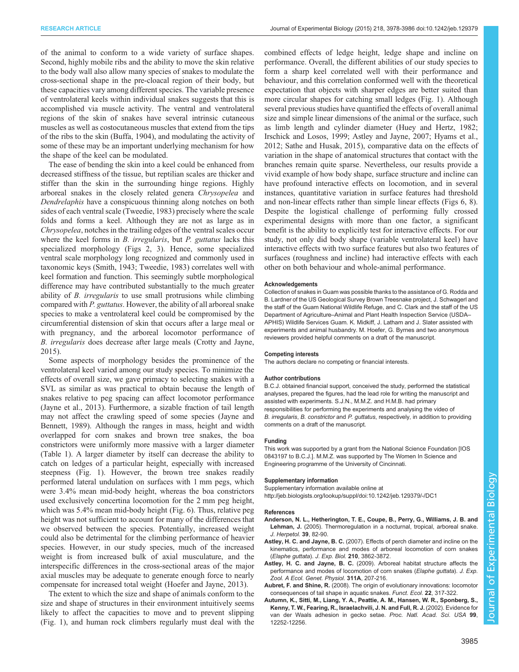<span id="page-7-0"></span>of the animal to conform to a wide variety of surface shapes. Second, highly mobile ribs and the ability to move the skin relative to the body wall also allow many species of snakes to modulate the cross-sectional shape in the pre-cloacal region of their body, but these capacities vary among different species. The variable presence of ventrolateral keels within individual snakes suggests that this is accomplished via muscle activity. The ventral and ventrolateral regions of the skin of snakes have several intrinsic cutaneous muscles as well as costocutaneous muscles that extend from the tips of the ribs to the skin ([Buffa, 1904\)](#page-8-0), and modulating the activity of some of these may be an important underlying mechanism for how the shape of the keel can be modulated.

The ease of bending the skin into a keel could be enhanced from decreased stiffness of the tissue, but reptilian scales are thicker and stiffer than the skin in the surrounding hinge regions. Highly arboreal snakes in the closely related genera Chrysopelea and Dendrelaphis have a conspicuous thinning along notches on both sides of each ventral scale ([Tweedie, 1983](#page-8-0)) precisely where the scale folds and forms a keel. Although they are not as large as in Chrysopelea, notches in the trailing edges of the ventral scales occur where the keel forms in B. *irregularis*, but P. *guttatus* lacks this specialized morphology [\(Figs 2,](#page-1-0) [3\)](#page-2-0). Hence, some specialized ventral scale morphology long recognized and commonly used in taxonomic keys ([Smith, 1943](#page-8-0); [Tweedie, 1983](#page-8-0)) correlates well with keel formation and function. This seemingly subtle morphological difference may have contributed substantially to the much greater ability of B. irregularis to use small protrusions while climbing compared with P. guttatus. However, the ability of all arboreal snake species to make a ventrolateral keel could be compromised by the circumferential distension of skin that occurs after a large meal or with pregnancy, and the arboreal locomotor performance of B. irregularis does decrease after large meals ([Crotty and Jayne,](#page-8-0) [2015](#page-8-0)).

Some aspects of morphology besides the prominence of the ventrolateral keel varied among our study species. To minimize the effects of overall size, we gave primacy to selecting snakes with a SVL as similar as was practical to obtain because the length of snakes relative to peg spacing can affect locomotor performance [\(Jayne et al., 2013\)](#page-8-0). Furthermore, a sizable fraction of tail length may not affect the crawling speed of some species ([Jayne and](#page-8-0) [Bennett, 1989\)](#page-8-0). Although the ranges in mass, height and width overlapped for corn snakes and brown tree snakes, the boa constrictors were uniformly more massive with a larger diameter [\(Table 1\)](#page-3-0). A larger diameter by itself can decrease the ability to catch on ledges of a particular height, especially with increased steepness ([Fig. 1](#page-1-0)). However, the brown tree snakes readily performed lateral undulation on surfaces with 1 mm pegs, which were 3.4% mean mid-body height, whereas the boa constrictors used exclusively concertina locomotion for the 2 mm peg height, which was 5.4% mean mid-body height [\(Fig. 6](#page-4-0)). Thus, relative peg height was not sufficient to account for many of the differences that we observed between the species. Potentially, increased weight could also be detrimental for the climbing performance of heavier species. However, in our study species, much of the increased weight is from increased bulk of axial musculature, and the interspecific differences in the cross-sectional areas of the major axial muscles may be adequate to generate enough force to nearly compensate for increased total weight [\(Hoefer and Jayne, 2013\)](#page-8-0).

The extent to which the size and shape of animals conform to the size and shape of structures in their environment intuitively seems likely to affect the capacities to move and to prevent slipping [\(Fig. 1\)](#page-1-0), and human rock climbers regularly must deal with the

combined effects of ledge height, ledge shape and incline on performance. Overall, the different abilities of our study species to form a sharp keel correlated well with their performance and behaviour, and this correlation conformed well with the theoretical expectation that objects with sharper edges are better suited than more circular shapes for catching small ledges ([Fig. 1\)](#page-1-0). Although several previous studies have quantified the effects of overall animal size and simple linear dimensions of the animal or the surface, such as limb length and cylinder diameter ([Huey and Hertz, 1982](#page-8-0); [Irschick and Losos, 1999](#page-8-0); Astley and Jayne, 2007; [Hyams et al.,](#page-8-0) [2012; Sathe and Husak, 2015\)](#page-8-0), comparative data on the effects of variation in the shape of anatomical structures that contact with the branches remain quite sparse. Nevertheless, our results provide a vivid example of how body shape, surface structure and incline can have profound interactive effects on locomotion, and in several instances, quantitative variation in surface features had threshold and non-linear effects rather than simple linear effects [\(Figs 6](#page-4-0), [8\)](#page-5-0). Despite the logistical challenge of performing fully crossed experimental designs with more than one factor, a significant benefit is the ability to explicitly test for interactive effects. For our study, not only did body shape (variable ventrolateral keel) have interactive effects with two surface features but also two features of surfaces (roughness and incline) had interactive effects with each other on both behaviour and whole-animal performance.

### Acknowledgements

Collection of snakes in Guam was possible thanks to the assistance of G. Rodda and B. Lardner of the US Geological Survey Brown Treesnake project, J. Schwagerl and the staff of the Guam National Wildlife Refuge, and C. Clark and the staff of the US Department of Agriculture–Animal and Plant Health Inspection Service (USDA– APHIS) Wildlife Services Guam. K. Midkiff, J. Latham and J. Slater assisted with experiments and animal husbandry. M. Hoefer, G. Byrnes and two anonymous reviewers provided helpful comments on a draft of the manuscript.

### Competing interests

The authors declare no competing or financial interests.

#### Author contributions

B.C.J. obtained financial support, conceived the study, performed the statistical analyses, prepared the figures, had the lead role for writing the manuscript and assisted with experiments. S.J.N., M.M.Z. and H.M.B. had primary responsibilities for performing the experiments and analysing the video of B. irregularis, B. constrictor and P. guttatus, respectively, in addition to providing comments on a draft of the manuscript.

#### Funding

This work was supported by a grant from the National Science Foundation [IOS 0843197 to B.C.J.]. M.M.Z. was supported by The Women In Science and Engineering programme of the University of Cincinnati.

#### Supplementary information

Supplementary information available online at <http://jeb.biologists.org/lookup/suppl/doi:10.1242/jeb.129379/-/DC1>

#### References

- [Anderson, N. L., Hetherington, T. E., Coupe, B., Perry, G., Williams, J. B. and](http://dx.doi.org/10.1670/0022-1511(2005)039[0082:TIANTA]2.0.CO;2) Lehman, J. [\(2005\). Thermoregulation in a nocturnal, tropical, arboreal snake.](http://dx.doi.org/10.1670/0022-1511(2005)039[0082:TIANTA]2.0.CO;2) [J. Herpetol.](http://dx.doi.org/10.1670/0022-1511(2005)039[0082:TIANTA]2.0.CO;2) 39, 82-90.
- Astley, H. C. and Jayne, B. C. [\(2007\). Effects of perch diameter and incline on the](http://dx.doi.org/10.1242/jeb.009050) [kinematics, performance and modes of arboreal locomotion of corn snakes](http://dx.doi.org/10.1242/jeb.009050) ([Elaphe guttata](http://dx.doi.org/10.1242/jeb.009050)). J. Exp. Biol. 210, 3862-3872.
- Astley, H. C. and Jayne, B. C. [\(2009\). Arboreal habitat structure affects the](http://dx.doi.org/10.1002/jez.521) [performance and modes of locomotion of corn snakes \(](http://dx.doi.org/10.1002/jez.521)Elaphe guttata). J. Exp. [Zool. A Ecol. Genet. Physiol.](http://dx.doi.org/10.1002/jez.521) 311A, 207-216.
- Aubret, F. and Shine, R. [\(2008\). The origin of evolutionary innovations: locomotor](http://dx.doi.org/10.1111/j.1365-2435.2007.01359.x) [consequences of tail shape in aquatic snakes.](http://dx.doi.org/10.1111/j.1365-2435.2007.01359.x) Funct. Ecol. 22, 317-322.
- [Autumn, K., Sitti, M., Liang, Y. A., Peattie, A. M., Hansen, W. R., Sponberg, S.,](http://dx.doi.org/10.1073/pnas.192252799) [Kenny, T. W., Fearing, R., Israelachvili, J. N. and Full, R. J.](http://dx.doi.org/10.1073/pnas.192252799) (2002). Evidence for [van der Waals adhesion in gecko setae.](http://dx.doi.org/10.1073/pnas.192252799) Proc. Natl. Acad. Sci. USA 99, [12252-12256.](http://dx.doi.org/10.1073/pnas.192252799)